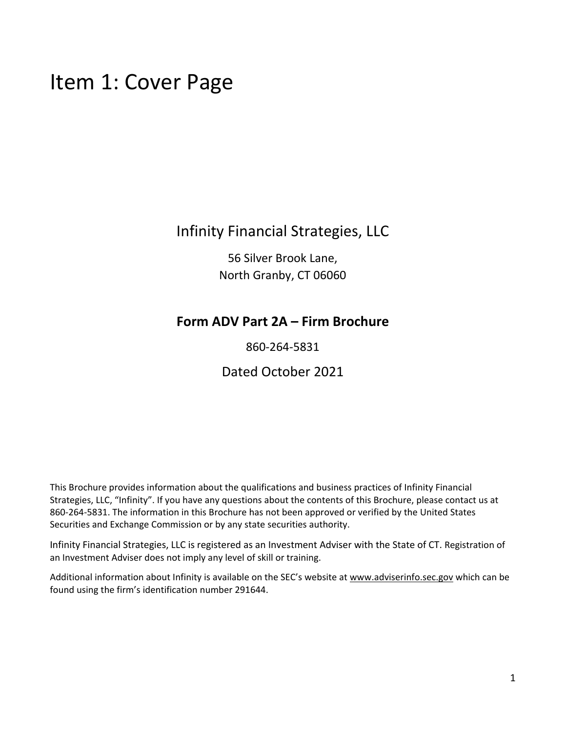## Item 1: Cover Page

## Infinity Financial Strategies, LLC

56 Silver Brook Lane, North Granby, CT 06060

## **Form ADV Part 2A – Firm Brochure**

860-264-5831

Dated October 2021

This Brochure provides information about the qualifications and business practices of Infinity Financial Strategies, LLC, "Infinity". If you have any questions about the contents of this Brochure, please contact us at 860-264-5831. The information in this Brochure has not been approved or verified by the United States Securities and Exchange Commission or by any state securities authority.

Infinity Financial Strategies, LLC is registered as an Investment Adviser with the State of CT. Registration of an Investment Adviser does not imply any level of skill or training.

Additional information about Infinity is available on the SEC's website a[t www.adviserinfo.sec.gov](http://www.adviserinfo.sec.gov/) which can be found using the firm's identification number 291644.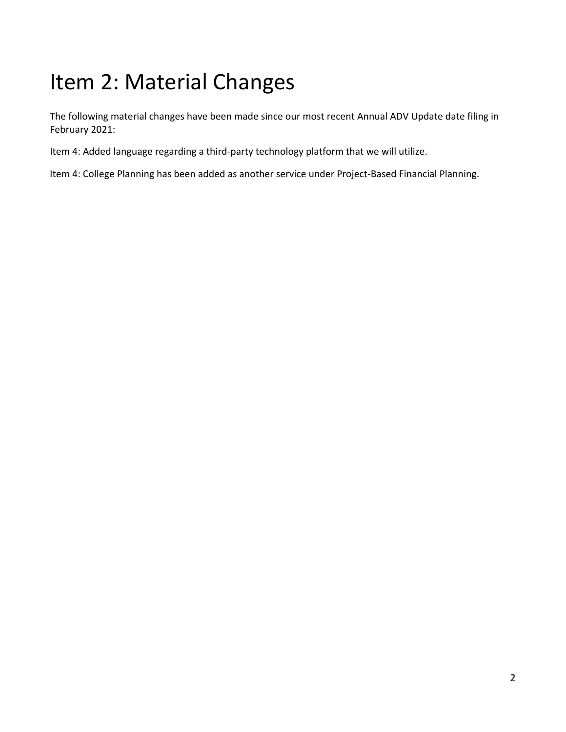# <span id="page-1-0"></span>Item 2: Material Changes

The following material changes have been made since our most recent Annual ADV Update date filing in February 2021:

Item 4: Added language regarding a third-party technology platform that we will utilize.

Item 4: College Planning has been added as another service under Project-Based Financial Planning.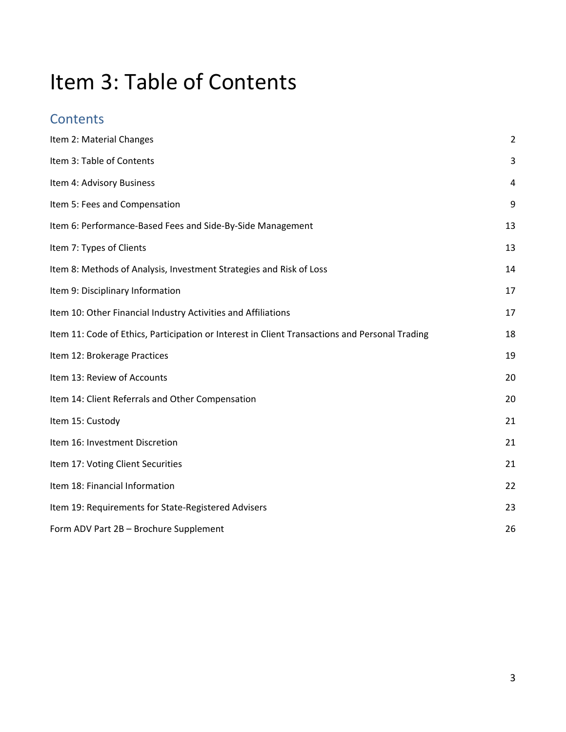# <span id="page-2-0"></span>Item 3: Table of Contents

## **Contents**

| Item 2: Material Changes                                                                       | $\overline{2}$ |
|------------------------------------------------------------------------------------------------|----------------|
| Item 3: Table of Contents                                                                      | 3              |
| Item 4: Advisory Business                                                                      | 4              |
| Item 5: Fees and Compensation                                                                  | 9              |
| Item 6: Performance-Based Fees and Side-By-Side Management                                     | 13             |
| Item 7: Types of Clients                                                                       | 13             |
| Item 8: Methods of Analysis, Investment Strategies and Risk of Loss                            | 14             |
| Item 9: Disciplinary Information                                                               | 17             |
| Item 10: Other Financial Industry Activities and Affiliations                                  | 17             |
| Item 11: Code of Ethics, Participation or Interest in Client Transactions and Personal Trading | 18             |
| Item 12: Brokerage Practices                                                                   | 19             |
| Item 13: Review of Accounts                                                                    | 20             |
| Item 14: Client Referrals and Other Compensation                                               | 20             |
| Item 15: Custody                                                                               | 21             |
| Item 16: Investment Discretion                                                                 | 21             |
| Item 17: Voting Client Securities                                                              | 21             |
| Item 18: Financial Information                                                                 | 22             |
| Item 19: Requirements for State-Registered Advisers                                            | 23             |
| Form ADV Part 2B - Brochure Supplement                                                         | 26             |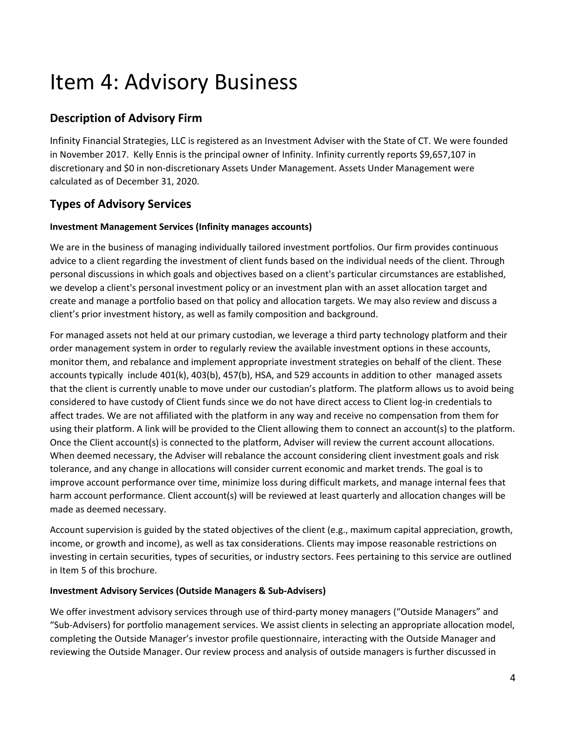## Item 4: Advisory Business

### **Description of Advisory Firm**

Infinity Financial Strategies, LLC is registered as an Investment Adviser with the State of CT. We were founded in November 2017. Kelly Ennis is the principal owner of Infinity. Infinity currently reports \$9,657,107 in discretionary and \$0 in non-discretionary Assets Under Management. Assets Under Management were calculated as of December 31, 2020.

### **Types of Advisory Services**

#### **Investment Management Services (Infinity manages accounts)**

We are in the business of managing individually tailored investment portfolios. Our firm provides continuous advice to a client regarding the investment of client funds based on the individual needs of the client. Through personal discussions in which goals and objectives based on a client's particular circumstances are established, we develop a client's personal investment policy or an investment plan with an asset allocation target and create and manage a portfolio based on that policy and allocation targets. We may also review and discuss a client's prior investment history, as well as family composition and background.

For managed assets not held at our primary custodian, we leverage a third party technology platform and their order management system in order to regularly review the available investment options in these accounts, monitor them, and rebalance and implement appropriate investment strategies on behalf of the client. These accounts typically include 401(k), 403(b), 457(b), HSA, and 529 accounts in addition to other managed assets that the client is currently unable to move under our custodian's platform. The platform allows us to avoid being considered to have custody of Client funds since we do not have direct access to Client log-in credentials to affect trades. We are not affiliated with the platform in any way and receive no compensation from them for using their platform. A link will be provided to the Client allowing them to connect an account(s) to the platform. Once the Client account(s) is connected to the platform, Adviser will review the current account allocations. When deemed necessary, the Adviser will rebalance the account considering client investment goals and risk tolerance, and any change in allocations will consider current economic and market trends. The goal is to improve account performance over time, minimize loss during difficult markets, and manage internal fees that harm account performance. Client account(s) will be reviewed at least quarterly and allocation changes will be made as deemed necessary.

Account supervision is guided by the stated objectives of the client (e.g., maximum capital appreciation, growth, income, or growth and income), as well as tax considerations. Clients may impose reasonable restrictions on investing in certain securities, types of securities, or industry sectors. Fees pertaining to this service are outlined in Item 5 of this brochure.

#### **Investment Advisory Services (Outside Managers & Sub-Advisers)**

We offer investment advisory services through use of third-party money managers ("Outside Managers" and "Sub-Advisers) for portfolio management services. We assist clients in selecting an appropriate allocation model, completing the Outside Manager's investor profile questionnaire, interacting with the Outside Manager and reviewing the Outside Manager. Our review process and analysis of outside managers is further discussed in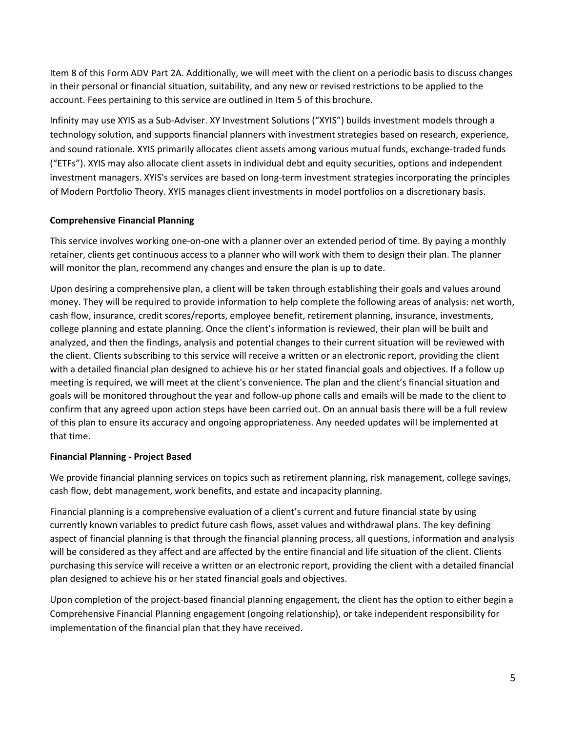Item 8 of this Form ADV Part 2A. Additionally, we will meet with the client on a periodic basis to discuss changes in their personal or financial situation, suitability, and any new or revised restrictions to be applied to the account. Fees pertaining to this service are outlined in Item 5 of this brochure.

Infinity may use XYIS as a Sub-Adviser. XY Investment Solutions ("XYIS") builds investment models through a technology solution, and supports financial planners with investment strategies based on research, experience, and sound rationale. XYIS primarily allocates client assets among various mutual funds, exchange-traded funds ("ETFs"). XYIS may also allocate client assets in individual debt and equity securities, options and independent investment managers. XYIS's services are based on long-term investment strategies incorporating the principles of Modern Portfolio Theory. XYIS manages client investments in model portfolios on a discretionary basis.

#### **Comprehensive Financial Planning**

This service involves working one-on-one with a planner over an extended period of time. By paying a monthly retainer, clients get continuous access to a planner who will work with them to design their plan. The planner will monitor the plan, recommend any changes and ensure the plan is up to date.

Upon desiring a comprehensive plan, a client will be taken through establishing their goals and values around money. They will be required to provide information to help complete the following areas of analysis: net worth, cash flow, insurance, credit scores/reports, employee benefit, retirement planning, insurance, investments, college planning and estate planning. Once the client's information is reviewed, their plan will be built and analyzed, and then the findings, analysis and potential changes to their current situation will be reviewed with the client. Clients subscribing to this service will receive a written or an electronic report, providing the client with a detailed financial plan designed to achieve his or her stated financial goals and objectives. If a follow up meeting is required, we will meet at the client's convenience. The plan and the client's financial situation and goals will be monitored throughout the year and follow-up phone calls and emails will be made to the client to confirm that any agreed upon action steps have been carried out. On an annual basis there will be a full review of this plan to ensure its accuracy and ongoing appropriateness. Any needed updates will be implemented at that time.

#### **Financial Planning - Project Based**

We provide financial planning services on topics such as retirement planning, risk management, college savings, cash flow, debt management, work benefits, and estate and incapacity planning.

Financial planning is a comprehensive evaluation of a client's current and future financial state by using currently known variables to predict future cash flows, asset values and withdrawal plans. The key defining aspect of financial planning is that through the financial planning process, all questions, information and analysis will be considered as they affect and are affected by the entire financial and life situation of the client. Clients purchasing this service will receive a written or an electronic report, providing the client with a detailed financial plan designed to achieve his or her stated financial goals and objectives.

Upon completion of the project-based financial planning engagement, the client has the option to either begin a Comprehensive Financial Planning engagement (ongoing relationship), or take independent responsibility for implementation of the financial plan that they have received.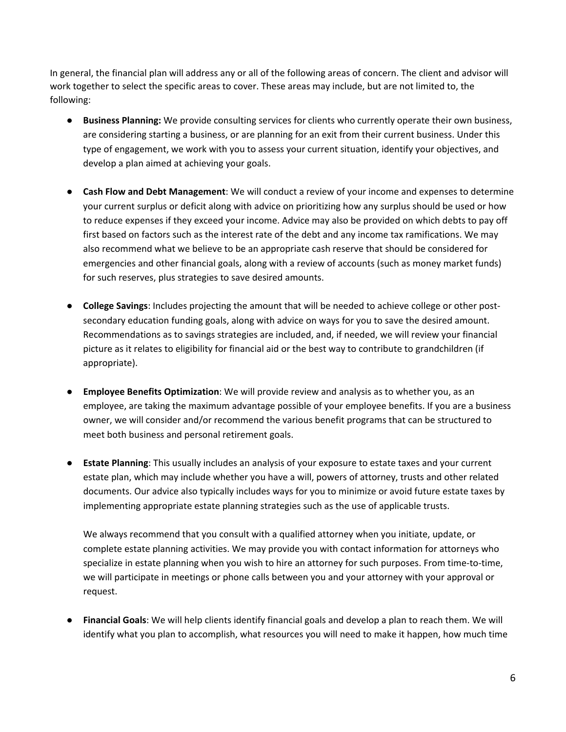In general, the financial plan will address any or all of the following areas of concern. The client and advisor will work together to select the specific areas to cover. These areas may include, but are not limited to, the following:

- **Business Planning:** We provide consulting services for clients who currently operate their own business, are considering starting a business, or are planning for an exit from their current business. Under this type of engagement, we work with you to assess your current situation, identify your objectives, and develop a plan aimed at achieving your goals.
- **Cash Flow and Debt Management**: We will conduct a review of your income and expenses to determine your current surplus or deficit along with advice on prioritizing how any surplus should be used or how to reduce expenses if they exceed your income. Advice may also be provided on which debts to pay off first based on factors such as the interest rate of the debt and any income tax ramifications. We may also recommend what we believe to be an appropriate cash reserve that should be considered for emergencies and other financial goals, along with a review of accounts (such as money market funds) for such reserves, plus strategies to save desired amounts.
- **College Savings**: Includes projecting the amount that will be needed to achieve college or other postsecondary education funding goals, along with advice on ways for you to save the desired amount. Recommendations as to savings strategies are included, and, if needed, we will review your financial picture as it relates to eligibility for financial aid or the best way to contribute to grandchildren (if appropriate).
- **Employee Benefits Optimization**: We will provide review and analysis as to whether you, as an employee, are taking the maximum advantage possible of your employee benefits. If you are a business owner, we will consider and/or recommend the various benefit programs that can be structured to meet both business and personal retirement goals.
- **Estate Planning**: This usually includes an analysis of your exposure to estate taxes and your current estate plan, which may include whether you have a will, powers of attorney, trusts and other related documents. Our advice also typically includes ways for you to minimize or avoid future estate taxes by implementing appropriate estate planning strategies such as the use of applicable trusts.

We always recommend that you consult with a qualified attorney when you initiate, update, or complete estate planning activities. We may provide you with contact information for attorneys who specialize in estate planning when you wish to hire an attorney for such purposes. From time-to-time, we will participate in meetings or phone calls between you and your attorney with your approval or request.

● **Financial Goals**: We will help clients identify financial goals and develop a plan to reach them. We will identify what you plan to accomplish, what resources you will need to make it happen, how much time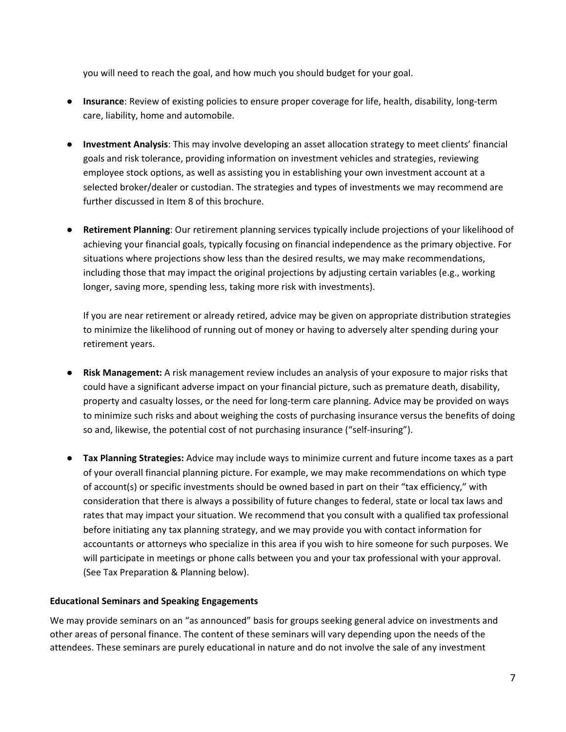you will need to reach the goal, and how much you should budget for your goal.

- **Insurance**: Review of existing policies to ensure proper coverage for life, health, disability, long-term care, liability, home and automobile.
- **Investment Analysis**: This may involve developing an asset allocation strategy to meet clients' financial goals and risk tolerance, providing information on investment vehicles and strategies, reviewing employee stock options, as well as assisting you in establishing your own investment account at a selected broker/dealer or custodian. The strategies and types of investments we may recommend are further discussed in Item 8 of this brochure.
- **Retirement Planning**: Our retirement planning services typically include projections of your likelihood of achieving your financial goals, typically focusing on financial independence as the primary objective. For situations where projections show less than the desired results, we may make recommendations, including those that may impact the original projections by adjusting certain variables (e.g., working longer, saving more, spending less, taking more risk with investments).

If you are near retirement or already retired, advice may be given on appropriate distribution strategies to minimize the likelihood of running out of money or having to adversely alter spending during your retirement years.

- **Risk Management:** A risk management review includes an analysis of your exposure to major risks that could have a significant adverse impact on your financial picture, such as premature death, disability, property and casualty losses, or the need for long-term care planning. Advice may be provided on ways to minimize such risks and about weighing the costs of purchasing insurance versus the benefits of doing so and, likewise, the potential cost of not purchasing insurance ("self-insuring").
- **Tax Planning Strategies:** Advice may include ways to minimize current and future income taxes as a part of your overall financial planning picture. For example, we may make recommendations on which type of account(s) or specific investments should be owned based in part on their "tax efficiency," with consideration that there is always a possibility of future changes to federal, state or local tax laws and rates that may impact your situation. We recommend that you consult with a qualified tax professional before initiating any tax planning strategy, and we may provide you with contact information for accountants or attorneys who specialize in this area if you wish to hire someone for such purposes. We will participate in meetings or phone calls between you and your tax professional with your approval. (See Tax Preparation & Planning below).

#### **Educational Seminars and Speaking Engagements**

We may provide seminars on an "as announced" basis for groups seeking general advice on investments and other areas of personal finance. The content of these seminars will vary depending upon the needs of the attendees. These seminars are purely educational in nature and do not involve the sale of any investment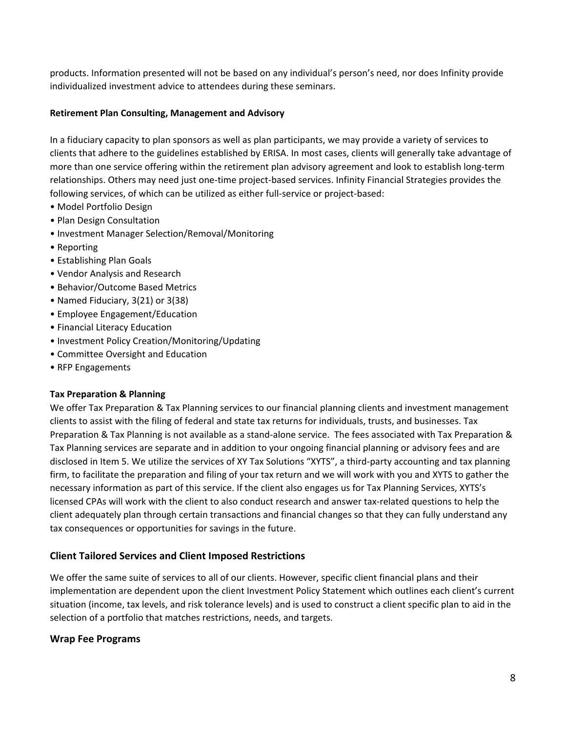products. Information presented will not be based on any individual's person's need, nor does Infinity provide individualized investment advice to attendees during these seminars.

#### **Retirement Plan Consulting, Management and Advisory**

In a fiduciary capacity to plan sponsors as well as plan participants, we may provide a variety of services to clients that adhere to the guidelines established by ERISA. In most cases, clients will generally take advantage of more than one service offering within the retirement plan advisory agreement and look to establish long-term relationships. Others may need just one-time project-based services. Infinity Financial Strategies provides the following services, of which can be utilized as either full-service or project-based:

- Model Portfolio Design
- Plan Design Consultation
- Investment Manager Selection/Removal/Monitoring
- Reporting
- Establishing Plan Goals
- Vendor Analysis and Research
- Behavior/Outcome Based Metrics
- Named Fiduciary, 3(21) or 3(38)
- Employee Engagement/Education
- Financial Literacy Education
- Investment Policy Creation/Monitoring/Updating
- Committee Oversight and Education
- RFP Engagements

#### **Tax Preparation & Planning**

We offer Tax Preparation & Tax Planning services to our financial planning clients and investment management clients to assist with the filing of federal and state tax returns for individuals, trusts, and businesses. Tax Preparation & Tax Planning is not available as a stand-alone service. The fees associated with Tax Preparation & Tax Planning services are separate and in addition to your ongoing financial planning or advisory fees and are disclosed in Item 5. We utilize the services of XY Tax Solutions "XYTS", a third-party accounting and tax planning firm, to facilitate the preparation and filing of your tax return and we will work with you and XYTS to gather the necessary information as part of this service. If the client also engages us for Tax Planning Services, XYTS's licensed CPAs will work with the client to also conduct research and answer tax-related questions to help the client adequately plan through certain transactions and financial changes so that they can fully understand any tax consequences or opportunities for savings in the future.

#### **Client Tailored Services and Client Imposed Restrictions**

We offer the same suite of services to all of our clients. However, specific client financial plans and their implementation are dependent upon the client Investment Policy Statement which outlines each client's current situation (income, tax levels, and risk tolerance levels) and is used to construct a client specific plan to aid in the selection of a portfolio that matches restrictions, needs, and targets.

#### **Wrap Fee Programs**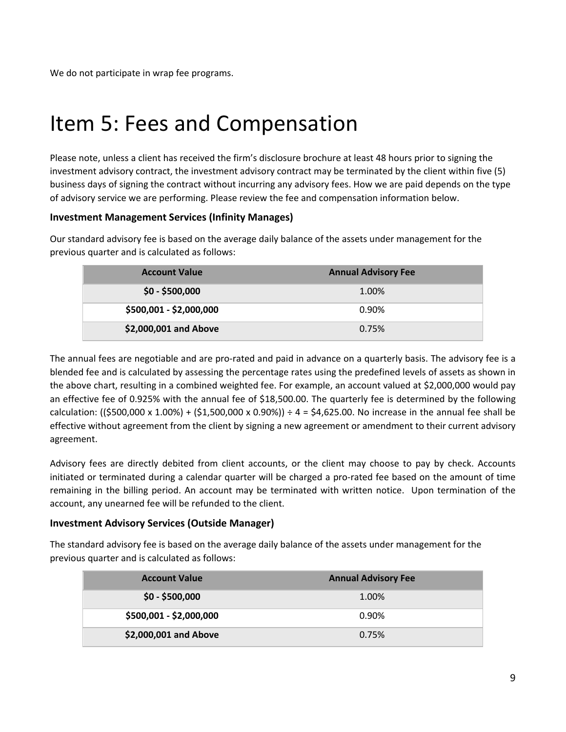We do not participate in wrap fee programs.

## <span id="page-8-0"></span>Item 5: Fees and Compensation

Please note, unless a client has received the firm's disclosure brochure at least 48 hours prior to signing the investment advisory contract, the investment advisory contract may be terminated by the client within five (5) business days of signing the contract without incurring any advisory fees. How we are paid depends on the type of advisory service we are performing. Please review the fee and compensation information below.

#### **Investment Management Services (Infinity Manages)**

Our standard advisory fee is based on the average daily balance of the assets under management for the previous quarter and is calculated as follows:

| <b>Account Value</b>    | <b>Annual Advisory Fee</b> |
|-------------------------|----------------------------|
| $$0 - $500,000$         | 1.00%                      |
| \$500,001 - \$2,000,000 | 0.90%                      |
| \$2,000,001 and Above   | 0.75%                      |

The annual fees are negotiable and are pro-rated and paid in advance on a quarterly basis. The advisory fee is a blended fee and is calculated by assessing the percentage rates using the predefined levels of assets as shown in the above chart, resulting in a combined weighted fee. For example, an account valued at \$2,000,000 would pay an effective fee of 0.925% with the annual fee of \$18,500.00. The quarterly fee is determined by the following calculation: ((\$500,000 x 1.00%) + (\$1,500,000 x 0.90%)) ÷ 4 = \$4,625.00. No increase in the annual fee shall be effective without agreement from the client by signing a new agreement or amendment to their current advisory agreement.

Advisory fees are directly debited from client accounts, or the client may choose to pay by check. Accounts initiated or terminated during a calendar quarter will be charged a pro-rated fee based on the amount of time remaining in the billing period. An account may be terminated with written notice. Upon termination of the account, any unearned fee will be refunded to the client.

#### **Investment Advisory Services (Outside Manager)**

The standard advisory fee is based on the average daily balance of the assets under management for the previous quarter and is calculated as follows:

| <b>Account Value</b>    | <b>Annual Advisory Fee</b> |
|-------------------------|----------------------------|
| $$0 - $500,000$         | 1.00%                      |
| \$500,001 - \$2,000,000 | 0.90%                      |
| \$2,000,001 and Above   | 0.75%                      |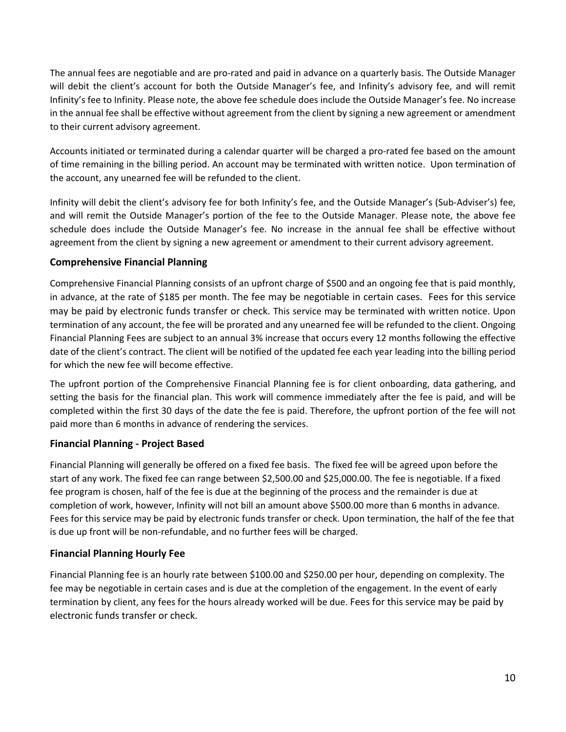The annual fees are negotiable and are pro-rated and paid in advance on a quarterly basis. The Outside Manager will debit the client's account for both the Outside Manager's fee, and Infinity's advisory fee, and will remit Infinity's fee to Infinity. Please note, the above fee schedule does include the Outside Manager's fee. No increase in the annual fee shall be effective without agreement from the client by signing a new agreement or amendment to their current advisory agreement.

Accounts initiated or terminated during a calendar quarter will be charged a pro-rated fee based on the amount of time remaining in the billing period. An account may be terminated with written notice. Upon termination of the account, any unearned fee will be refunded to the client.

Infinity will debit the client's advisory fee for both Infinity's fee, and the Outside Manager's (Sub-Adviser's) fee, and will remit the Outside Manager's portion of the fee to the Outside Manager. Please note, the above fee schedule does include the Outside Manager's fee. No increase in the annual fee shall be effective without agreement from the client by signing a new agreement or amendment to their current advisory agreement.

#### **Comprehensive Financial Planning**

Comprehensive Financial Planning consists of an upfront charge of \$500 and an ongoing fee that is paid monthly, in advance, at the rate of \$185 per month. The fee may be negotiable in certain cases. Fees for this service may be paid by electronic funds transfer or check. This service may be terminated with written notice. Upon termination of any account, the fee will be prorated and any unearned fee will be refunded to the client. Ongoing Financial Planning Fees are subject to an annual 3% increase that occurs every 12 months following the effective date of the client's contract. The client will be notified of the updated fee each year leading into the billing period for which the new fee will become effective.

The upfront portion of the Comprehensive Financial Planning fee is for client onboarding, data gathering, and setting the basis for the financial plan. This work will commence immediately after the fee is paid, and will be completed within the first 30 days of the date the fee is paid. Therefore, the upfront portion of the fee will not paid more than 6 months in advance of rendering the services.

#### **Financial Planning - Project Based**

Financial Planning will generally be offered on a fixed fee basis. The fixed fee will be agreed upon before the start of any work. The fixed fee can range between \$2,500.00 and \$25,000.00. The fee is negotiable. If a fixed fee program is chosen, half of the fee is due at the beginning of the process and the remainder is due at completion of work, however, Infinity will not bill an amount above \$500.00 more than 6 months in advance. Fees for this service may be paid by electronic funds transfer or check. Upon termination, the half of the fee that is due up front will be non-refundable, and no further fees will be charged.

#### **Financial Planning Hourly Fee**

Financial Planning fee is an hourly rate between \$100.00 and \$250.00 per hour, depending on complexity. The fee may be negotiable in certain cases and is due at the completion of the engagement. In the event of early termination by client, any fees for the hours already worked will be due. Fees for this service may be paid by electronic funds transfer or check.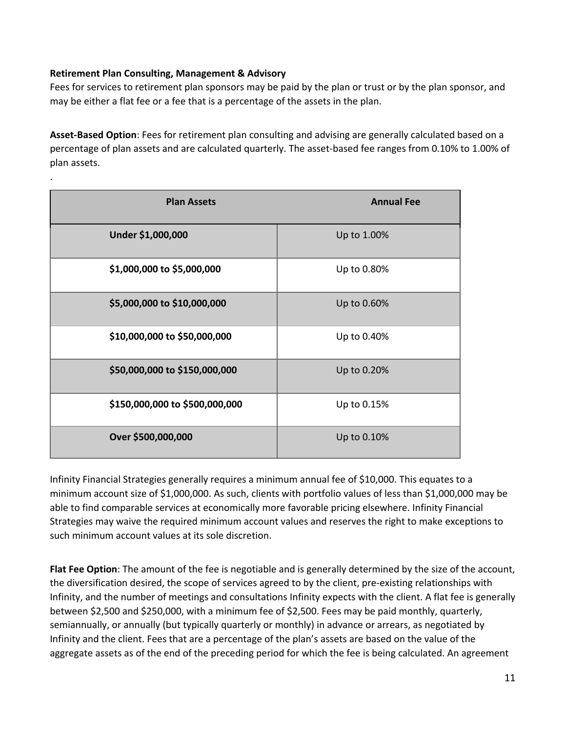#### **Retirement Plan Consulting, Management & Advisory**

.

Fees for services to retirement plan sponsors may be paid by the plan or trust or by the plan sponsor, and may be either a flat fee or a fee that is a percentage of the assets in the plan.

**Asset-Based Option**: Fees for retirement plan consulting and advising are generally calculated based on a percentage of plan assets and are calculated quarterly. The asset-based fee ranges from 0.10% to 1.00% of plan assets.

| <b>Plan Assets</b>             | <b>Annual Fee</b> |
|--------------------------------|-------------------|
| Under \$1,000,000              | Up to 1.00%       |
| \$1,000,000 to \$5,000,000     | Up to 0.80%       |
| \$5,000,000 to \$10,000,000    | Up to 0.60%       |
| \$10,000,000 to \$50,000,000   | Up to 0.40%       |
| \$50,000,000 to \$150,000,000  | Up to 0.20%       |
| \$150,000,000 to \$500,000,000 | Up to 0.15%       |
| Over \$500,000,000             | Up to 0.10%       |

Infinity Financial Strategies generally requires a minimum annual fee of \$10,000. This equates to a minimum account size of \$1,000,000. As such, clients with portfolio values of less than \$1,000,000 may be able to find comparable services at economically more favorable pricing elsewhere. Infinity Financial Strategies may waive the required minimum account values and reserves the right to make exceptions to such minimum account values at its sole discretion.

**Flat Fee Option**: The amount of the fee is negotiable and is generally determined by the size of the account, the diversification desired, the scope of services agreed to by the client, pre-existing relationships with Infinity, and the number of meetings and consultations Infinity expects with the client. A flat fee is generally between \$2,500 and \$250,000, with a minimum fee of \$2,500. Fees may be paid monthly, quarterly, semiannually, or annually (but typically quarterly or monthly) in advance or arrears, as negotiated by Infinity and the client. Fees that are a percentage of the plan's assets are based on the value of the aggregate assets as of the end of the preceding period for which the fee is being calculated. An agreement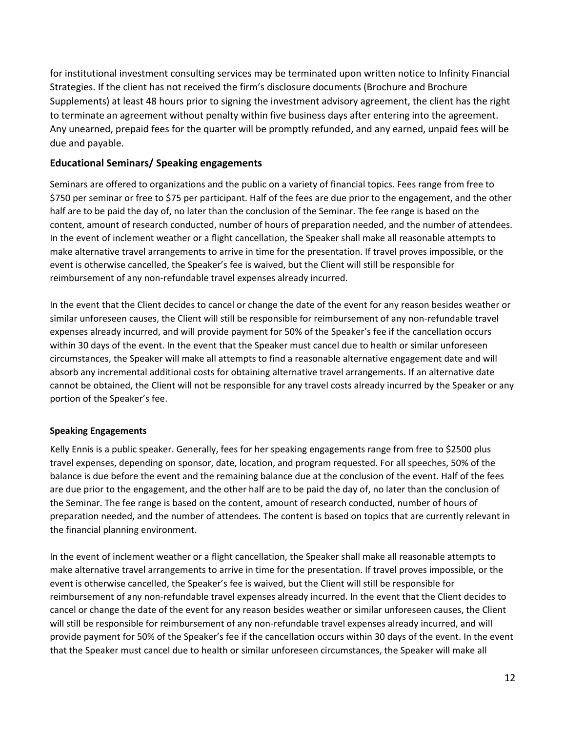for institutional investment consulting services may be terminated upon written notice to Infinity Financial Strategies. If the client has not received the firm's disclosure documents (Brochure and Brochure Supplements) at least 48 hours prior to signing the investment advisory agreement, the client has the right to terminate an agreement without penalty within five business days after entering into the agreement. Any unearned, prepaid fees for the quarter will be promptly refunded, and any earned, unpaid fees will be due and payable.

#### **Educational Seminars/ Speaking engagements**

Seminars are offered to organizations and the public on a variety of financial topics. Fees range from free to \$750 per seminar or free to \$75 per participant. Half of the fees are due prior to the engagement, and the other half are to be paid the day of, no later than the conclusion of the Seminar. The fee range is based on the content, amount of research conducted, number of hours of preparation needed, and the number of attendees. In the event of inclement weather or a flight cancellation, the Speaker shall make all reasonable attempts to make alternative travel arrangements to arrive in time for the presentation. If travel proves impossible, or the event is otherwise cancelled, the Speaker's fee is waived, but the Client will still be responsible for reimbursement of any non-refundable travel expenses already incurred.

In the event that the Client decides to cancel or change the date of the event for any reason besides weather or similar unforeseen causes, the Client will still be responsible for reimbursement of any non-refundable travel expenses already incurred, and will provide payment for 50% of the Speaker's fee if the cancellation occurs within 30 days of the event. In the event that the Speaker must cancel due to health or similar unforeseen circumstances, the Speaker will make all attempts to find a reasonable alternative engagement date and will absorb any incremental additional costs for obtaining alternative travel arrangements. If an alternative date cannot be obtained, the Client will not be responsible for any travel costs already incurred by the Speaker or any portion of the Speaker's fee.

#### **Speaking Engagements**

Kelly Ennis is a public speaker. Generally, fees for her speaking engagements range from free to \$2500 plus travel expenses, depending on sponsor, date, location, and program requested. For all speeches, 50% of the balance is due before the event and the remaining balance due at the conclusion of the event. Half of the fees are due prior to the engagement, and the other half are to be paid the day of, no later than the conclusion of the Seminar. The fee range is based on the content, amount of research conducted, number of hours of preparation needed, and the number of attendees. The content is based on topics that are currently relevant in the financial planning environment.

In the event of inclement weather or a flight cancellation, the Speaker shall make all reasonable attempts to make alternative travel arrangements to arrive in time for the presentation. If travel proves impossible, or the event is otherwise cancelled, the Speaker's fee is waived, but the Client will still be responsible for reimbursement of any non-refundable travel expenses already incurred. In the event that the Client decides to cancel or change the date of the event for any reason besides weather or similar unforeseen causes, the Client will still be responsible for reimbursement of any non-refundable travel expenses already incurred, and will provide payment for 50% of the Speaker's fee if the cancellation occurs within 30 days of the event. In the event that the Speaker must cancel due to health or similar unforeseen circumstances, the Speaker will make all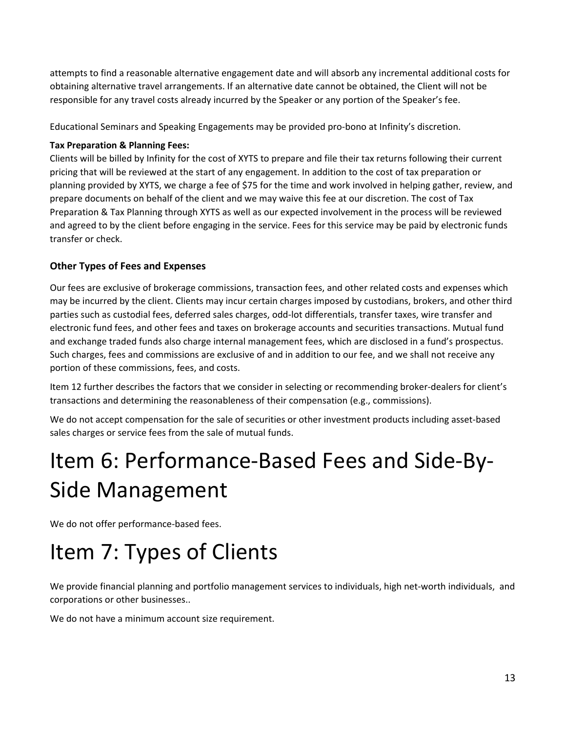attempts to find a reasonable alternative engagement date and will absorb any incremental additional costs for obtaining alternative travel arrangements. If an alternative date cannot be obtained, the Client will not be responsible for any travel costs already incurred by the Speaker or any portion of the Speaker's fee.

Educational Seminars and Speaking Engagements may be provided pro-bono at Infinity's discretion.

#### **Tax Preparation & Planning Fees:**

Clients will be billed by Infinity for the cost of XYTS to prepare and file their tax returns following their current pricing that will be reviewed at the start of any engagement. In addition to the cost of tax preparation or planning provided by XYTS, we charge a fee of \$75 for the time and work involved in helping gather, review, and prepare documents on behalf of the client and we may waive this fee at our discretion. The cost of Tax Preparation & Tax Planning through XYTS as well as our expected involvement in the process will be reviewed and agreed to by the client before engaging in the service. Fees for this service may be paid by electronic funds transfer or check.

#### **Other Types of Fees and Expenses**

Our fees are exclusive of brokerage commissions, transaction fees, and other related costs and expenses which may be incurred by the client. Clients may incur certain charges imposed by custodians, brokers, and other third parties such as custodial fees, deferred sales charges, odd-lot differentials, transfer taxes, wire transfer and electronic fund fees, and other fees and taxes on brokerage accounts and securities transactions. Mutual fund and exchange traded funds also charge internal management fees, which are disclosed in a fund's prospectus. Such charges, fees and commissions are exclusive of and in addition to our fee, and we shall not receive any portion of these commissions, fees, and costs.

Item 12 further describes the factors that we consider in selecting or recommending broker-dealers for client's transactions and determining the reasonableness of their compensation (e.g., commissions).

We do not accept compensation for the sale of securities or other investment products including asset-based sales charges or service fees from the sale of mutual funds.

# <span id="page-12-0"></span>Item 6: Performance-Based Fees and Side-By-Side Management

We do not offer performance-based fees.

## <span id="page-12-1"></span>Item 7: Types of Clients

We provide financial planning and portfolio management services to individuals, high net-worth individuals, and corporations or other businesses..

We do not have a minimum account size requirement.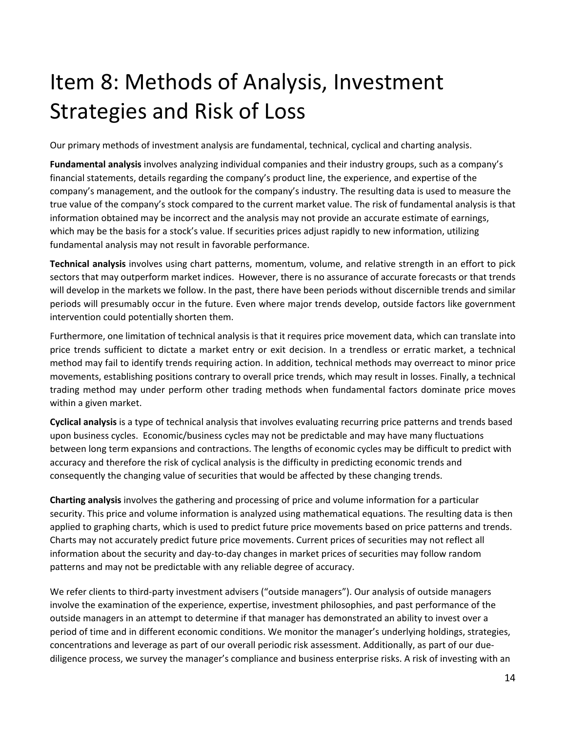# <span id="page-13-0"></span>Item 8: Methods of Analysis, Investment Strategies and Risk of Loss

Our primary methods of investment analysis are fundamental, technical, cyclical and charting analysis.

**Fundamental analysis** involves analyzing individual companies and their industry groups, such as a company's financial statements, details regarding the company's product line, the experience, and expertise of the company's management, and the outlook for the company's industry. The resulting data is used to measure the true value of the company's stock compared to the current market value. The risk of fundamental analysis is that information obtained may be incorrect and the analysis may not provide an accurate estimate of earnings, which may be the basis for a stock's value. If securities prices adjust rapidly to new information, utilizing fundamental analysis may not result in favorable performance.

**Technical analysis** involves using chart patterns, momentum, volume, and relative strength in an effort to pick sectors that may outperform market indices. However, there is no assurance of accurate forecasts or that trends will develop in the markets we follow. In the past, there have been periods without discernible trends and similar periods will presumably occur in the future. Even where major trends develop, outside factors like government intervention could potentially shorten them.

Furthermore, one limitation of technical analysis is that it requires price movement data, which can translate into price trends sufficient to dictate a market entry or exit decision. In a trendless or erratic market, a technical method may fail to identify trends requiring action. In addition, technical methods may overreact to minor price movements, establishing positions contrary to overall price trends, which may result in losses. Finally, a technical trading method may under perform other trading methods when fundamental factors dominate price moves within a given market.

**Cyclical analysis** is a type of technical analysis that involves evaluating recurring price patterns and trends based upon business cycles. Economic/business cycles may not be predictable and may have many fluctuations between long term expansions and contractions. The lengths of economic cycles may be difficult to predict with accuracy and therefore the risk of cyclical analysis is the difficulty in predicting economic trends and consequently the changing value of securities that would be affected by these changing trends.

**Charting analysis** involves the gathering and processing of price and volume information for a particular security. This price and volume information is analyzed using mathematical equations. The resulting data is then applied to graphing charts, which is used to predict future price movements based on price patterns and trends. Charts may not accurately predict future price movements. Current prices of securities may not reflect all information about the security and day-to-day changes in market prices of securities may follow random patterns and may not be predictable with any reliable degree of accuracy.

We refer clients to third-party investment advisers ("outside managers"). Our analysis of outside managers involve the examination of the experience, expertise, investment philosophies, and past performance of the outside managers in an attempt to determine if that manager has demonstrated an ability to invest over a period of time and in different economic conditions. We monitor the manager's underlying holdings, strategies, concentrations and leverage as part of our overall periodic risk assessment. Additionally, as part of our duediligence process, we survey the manager's compliance and business enterprise risks. A risk of investing with an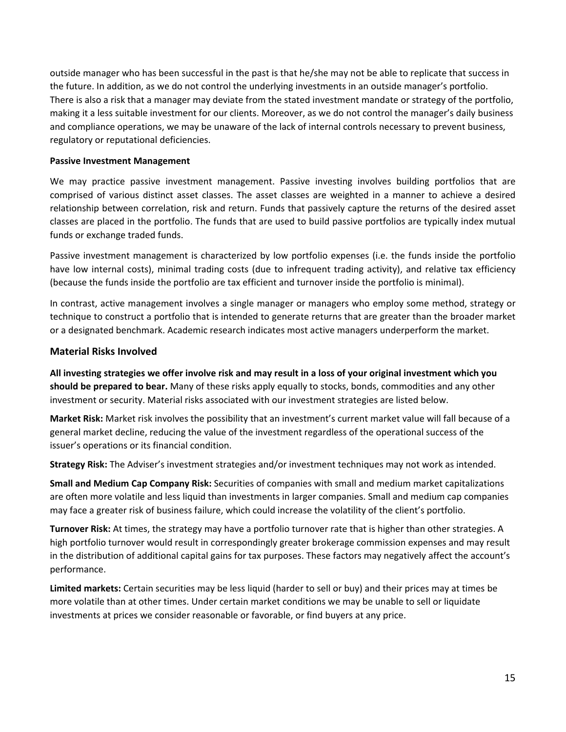outside manager who has been successful in the past is that he/she may not be able to replicate that success in the future. In addition, as we do not control the underlying investments in an outside manager's portfolio. There is also a risk that a manager may deviate from the stated investment mandate or strategy of the portfolio, making it a less suitable investment for our clients. Moreover, as we do not control the manager's daily business and compliance operations, we may be unaware of the lack of internal controls necessary to prevent business, regulatory or reputational deficiencies.

#### **Passive Investment Management**

We may practice passive investment management. Passive investing involves building portfolios that are comprised of various distinct asset classes. The asset classes are weighted in a manner to achieve a desired relationship between correlation, risk and return. Funds that passively capture the returns of the desired asset classes are placed in the portfolio. The funds that are used to build passive portfolios are typically index mutual funds or exchange traded funds.

Passive investment management is characterized by low portfolio expenses (i.e. the funds inside the portfolio have low internal costs), minimal trading costs (due to infrequent trading activity), and relative tax efficiency (because the funds inside the portfolio are tax efficient and turnover inside the portfolio is minimal).

In contrast, active management involves a single manager or managers who employ some method, strategy or technique to construct a portfolio that is intended to generate returns that are greater than the broader market or a designated benchmark. Academic research indicates most active managers underperform the market.

#### **Material Risks Involved**

**All investing strategies we offer involve risk and may result in a loss of your original investment which you should be prepared to bear.** Many of these risks apply equally to stocks, bonds, commodities and any other investment or security. Material risks associated with our investment strategies are listed below.

**Market Risk:** Market risk involves the possibility that an investment's current market value will fall because of a general market decline, reducing the value of the investment regardless of the operational success of the issuer's operations or its financial condition.

**Strategy Risk:** The Adviser's investment strategies and/or investment techniques may not work as intended.

**Small and Medium Cap Company Risk:** Securities of companies with small and medium market capitalizations are often more volatile and less liquid than investments in larger companies. Small and medium cap companies may face a greater risk of business failure, which could increase the volatility of the client's portfolio.

**Turnover Risk:** At times, the strategy may have a portfolio turnover rate that is higher than other strategies. A high portfolio turnover would result in correspondingly greater brokerage commission expenses and may result in the distribution of additional capital gains for tax purposes. These factors may negatively affect the account's performance.

**Limited markets:** Certain securities may be less liquid (harder to sell or buy) and their prices may at times be more volatile than at other times. Under certain market conditions we may be unable to sell or liquidate investments at prices we consider reasonable or favorable, or find buyers at any price.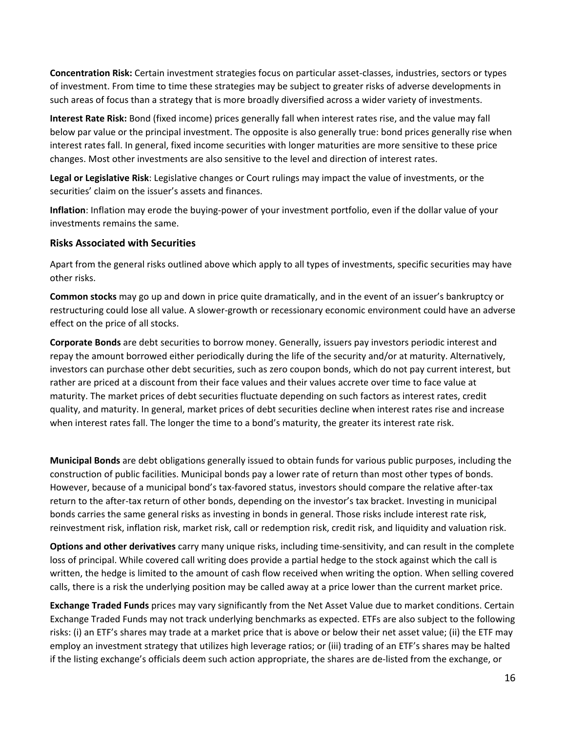**Concentration Risk:** Certain investment strategies focus on particular asset-classes, industries, sectors or types of investment. From time to time these strategies may be subject to greater risks of adverse developments in such areas of focus than a strategy that is more broadly diversified across a wider variety of investments.

**Interest Rate Risk:** Bond (fixed income) prices generally fall when interest rates rise, and the value may fall below par value or the principal investment. The opposite is also generally true: bond prices generally rise when interest rates fall. In general, fixed income securities with longer maturities are more sensitive to these price changes. Most other investments are also sensitive to the level and direction of interest rates.

**Legal or Legislative Risk**: Legislative changes or Court rulings may impact the value of investments, or the securities' claim on the issuer's assets and finances.

**Inflation**: Inflation may erode the buying-power of your investment portfolio, even if the dollar value of your investments remains the same.

#### **Risks Associated with Securities**

Apart from the general risks outlined above which apply to all types of investments, specific securities may have other risks.

**Common stocks** may go up and down in price quite dramatically, and in the event of an issuer's bankruptcy or restructuring could lose all value. A slower-growth or recessionary economic environment could have an adverse effect on the price of all stocks.

**Corporate Bonds** are debt securities to borrow money. Generally, issuers pay investors periodic interest and repay the amount borrowed either periodically during the life of the security and/or at maturity. Alternatively, investors can purchase other debt securities, such as zero coupon bonds, which do not pay current interest, but rather are priced at a discount from their face values and their values accrete over time to face value at maturity. The market prices of debt securities fluctuate depending on such factors as interest rates, credit quality, and maturity. In general, market prices of debt securities decline when interest rates rise and increase when interest rates fall. The longer the time to a bond's maturity, the greater its interest rate risk.

**Municipal Bonds** are debt obligations generally issued to obtain funds for various public purposes, including the construction of public facilities. Municipal bonds pay a lower rate of return than most other types of bonds. However, because of a municipal bond's tax-favored status, investors should compare the relative after-tax return to the after-tax return of other bonds, depending on the investor's tax bracket. Investing in municipal bonds carries the same general risks as investing in bonds in general. Those risks include interest rate risk, reinvestment risk, inflation risk, market risk, call or redemption risk, credit risk, and liquidity and valuation risk.

**Options and other derivatives** carry many unique risks, including time-sensitivity, and can result in the complete loss of principal. While covered call writing does provide a partial hedge to the stock against which the call is written, the hedge is limited to the amount of cash flow received when writing the option. When selling covered calls, there is a risk the underlying position may be called away at a price lower than the current market price.

**Exchange Traded Funds** prices may vary significantly from the Net Asset Value due to market conditions. Certain Exchange Traded Funds may not track underlying benchmarks as expected. ETFs are also subject to the following risks: (i) an ETF's shares may trade at a market price that is above or below their net asset value; (ii) the ETF may employ an investment strategy that utilizes high leverage ratios; or (iii) trading of an ETF's shares may be halted if the listing exchange's officials deem such action appropriate, the shares are de-listed from the exchange, or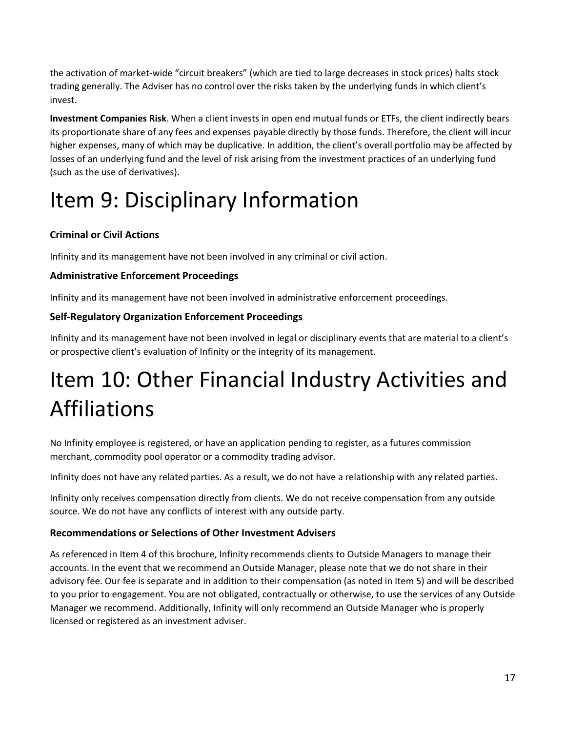the activation of market-wide "circuit breakers" (which are tied to large decreases in stock prices) halts stock trading generally. The Adviser has no control over the risks taken by the underlying funds in which client's invest.

**Investment Companies Risk**. When a client invests in open end mutual funds or ETFs, the client indirectly bears its proportionate share of any fees and expenses payable directly by those funds. Therefore, the client will incur higher expenses, many of which may be duplicative. In addition, the client's overall portfolio may be affected by losses of an underlying fund and the level of risk arising from the investment practices of an underlying fund (such as the use of derivatives).

# <span id="page-16-0"></span>Item 9: Disciplinary Information

### **Criminal or Civil Actions**

Infinity and its management have not been involved in any criminal or civil action.

### **Administrative Enforcement Proceedings**

Infinity and its management have not been involved in administrative enforcement proceedings.

### **Self-Regulatory Organization Enforcement Proceedings**

Infinity and its management have not been involved in legal or disciplinary events that are material to a client's or prospective client's evaluation of Infinity or the integrity of its management.

# <span id="page-16-1"></span>Item 10: Other Financial Industry Activities and Affiliations

No Infinity employee is registered, or have an application pending to register, as a futures commission merchant, commodity pool operator or a commodity trading advisor.

Infinity does not have any related parties. As a result, we do not have a relationship with any related parties.

Infinity only receives compensation directly from clients. We do not receive compensation from any outside source. We do not have any conflicts of interest with any outside party.

### **Recommendations or Selections of Other Investment Advisers**

As referenced in Item 4 of this brochure, Infinity recommends clients to Outside Managers to manage their accounts. In the event that we recommend an Outside Manager, please note that we do not share in their advisory fee. Our fee is separate and in addition to their compensation (as noted in Item 5) and will be described to you prior to engagement. You are not obligated, contractually or otherwise, to use the services of any Outside Manager we recommend. Additionally, Infinity will only recommend an Outside Manager who is properly licensed or registered as an investment adviser.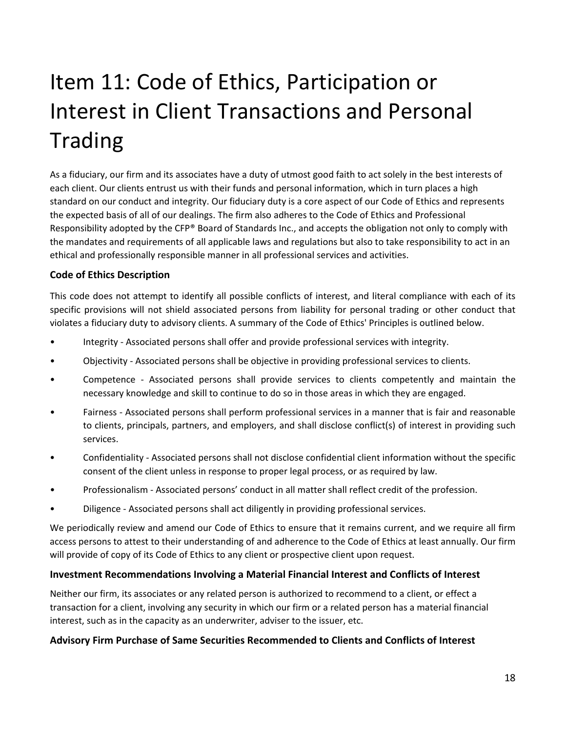# <span id="page-17-0"></span>Item 11: Code of Ethics, Participation or Interest in Client Transactions and Personal Trading

As a fiduciary, our firm and its associates have a duty of utmost good faith to act solely in the best interests of each client. Our clients entrust us with their funds and personal information, which in turn places a high standard on our conduct and integrity. Our fiduciary duty is a core aspect of our Code of Ethics and represents the expected basis of all of our dealings. The firm also adheres to the Code of Ethics and Professional Responsibility adopted by the CFP® Board of Standards Inc., and accepts the obligation not only to comply with the mandates and requirements of all applicable laws and regulations but also to take responsibility to act in an ethical and professionally responsible manner in all professional services and activities.

#### **Code of Ethics Description**

This code does not attempt to identify all possible conflicts of interest, and literal compliance with each of its specific provisions will not shield associated persons from liability for personal trading or other conduct that violates a fiduciary duty to advisory clients. A summary of the Code of Ethics' Principles is outlined below.

- Integrity Associated persons shall offer and provide professional services with integrity.
- Objectivity Associated persons shall be objective in providing professional services to clients.
- Competence Associated persons shall provide services to clients competently and maintain the necessary knowledge and skill to continue to do so in those areas in which they are engaged.
- Fairness Associated persons shall perform professional services in a manner that is fair and reasonable to clients, principals, partners, and employers, and shall disclose conflict(s) of interest in providing such services.
- Confidentiality Associated persons shall not disclose confidential client information without the specific consent of the client unless in response to proper legal process, or as required by law.
- Professionalism Associated persons' conduct in all matter shall reflect credit of the profession.
- Diligence Associated persons shall act diligently in providing professional services.

We periodically review and amend our Code of Ethics to ensure that it remains current, and we require all firm access persons to attest to their understanding of and adherence to the Code of Ethics at least annually. Our firm will provide of copy of its Code of Ethics to any client or prospective client upon request.

#### **Investment Recommendations Involving a Material Financial Interest and Conflicts of Interest**

Neither our firm, its associates or any related person is authorized to recommend to a client, or effect a transaction for a client, involving any security in which our firm or a related person has a material financial interest, such as in the capacity as an underwriter, adviser to the issuer, etc.

#### **Advisory Firm Purchase of Same Securities Recommended to Clients and Conflicts of Interest**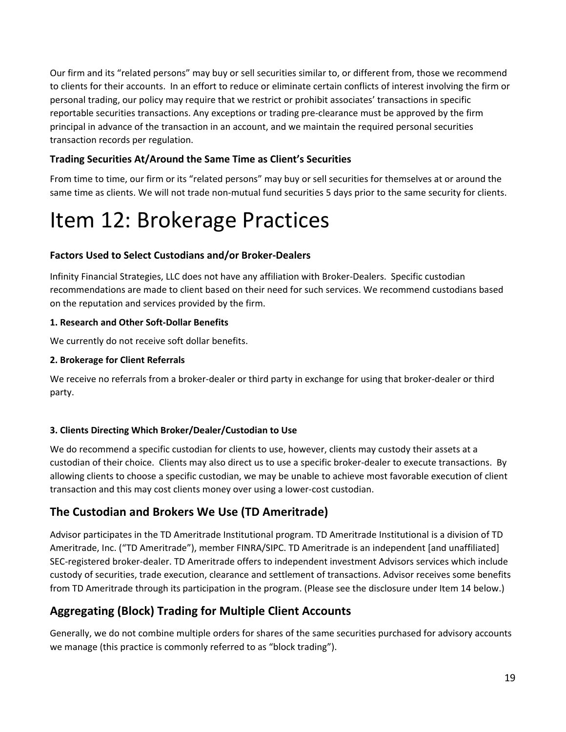Our firm and its "related persons" may buy or sell securities similar to, or different from, those we recommend to clients for their accounts. In an effort to reduce or eliminate certain conflicts of interest involving the firm or personal trading, our policy may require that we restrict or prohibit associates' transactions in specific reportable securities transactions. Any exceptions or trading pre-clearance must be approved by the firm principal in advance of the transaction in an account, and we maintain the required personal securities transaction records per regulation.

### **Trading Securities At/Around the Same Time as Client's Securities**

From time to time, our firm or its "related persons" may buy or sell securities for themselves at or around the same time as clients. We will not trade non-mutual fund securities 5 days prior to the same security for clients.

## <span id="page-18-0"></span>Item 12: Brokerage Practices

### **Factors Used to Select Custodians and/or Broker-Dealers**

Infinity Financial Strategies, LLC does not have any affiliation with Broker-Dealers. Specific custodian recommendations are made to client based on their need for such services. We recommend custodians based on the reputation and services provided by the firm.

#### **1. Research and Other Soft-Dollar Benefits**

We currently do not receive soft dollar benefits.

#### **2. Brokerage for Client Referrals**

We receive no referrals from a broker-dealer or third party in exchange for using that broker-dealer or third party.

#### **3. Clients Directing Which Broker/Dealer/Custodian to Use**

We do recommend a specific custodian for clients to use, however, clients may custody their assets at a custodian of their choice. Clients may also direct us to use a specific broker-dealer to execute transactions. By allowing clients to choose a specific custodian, we may be unable to achieve most favorable execution of client transaction and this may cost clients money over using a lower-cost custodian.

## **The Custodian and Brokers We Use (TD Ameritrade)**

Advisor participates in the TD Ameritrade Institutional program. TD Ameritrade Institutional is a division of TD Ameritrade, Inc. ("TD Ameritrade"), member FINRA/SIPC. TD Ameritrade is an independent [and unaffiliated] SEC-registered broker-dealer. TD Ameritrade offers to independent investment Advisors services which include custody of securities, trade execution, clearance and settlement of transactions. Advisor receives some benefits from TD Ameritrade through its participation in the program. (Please see the disclosure under Item 14 below.)

### **Aggregating (Block) Trading for Multiple Client Accounts**

Generally, we do not combine multiple orders for shares of the same securities purchased for advisory accounts we manage (this practice is commonly referred to as "block trading").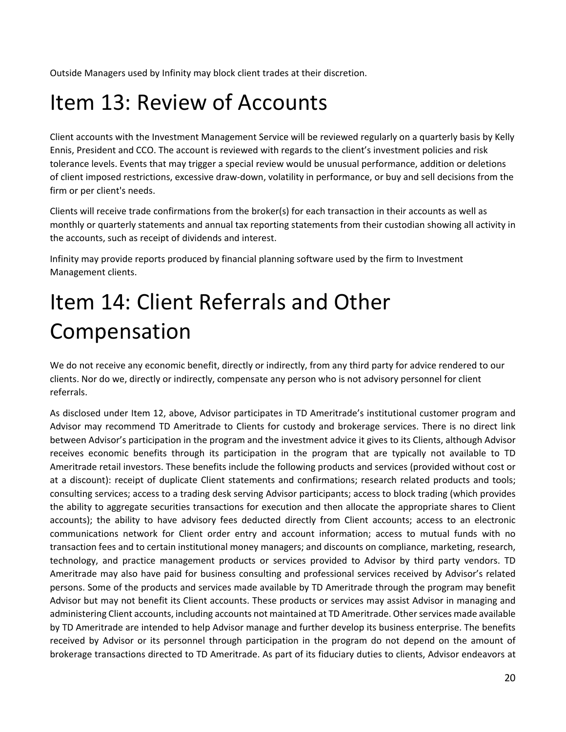Outside Managers used by Infinity may block client trades at their discretion.

## <span id="page-19-0"></span>Item 13: Review of Accounts

Client accounts with the Investment Management Service will be reviewed regularly on a quarterly basis by Kelly Ennis, President and CCO. The account is reviewed with regards to the client's investment policies and risk tolerance levels. Events that may trigger a special review would be unusual performance, addition or deletions of client imposed restrictions, excessive draw-down, volatility in performance, or buy and sell decisions from the firm or per client's needs.

Clients will receive trade confirmations from the broker(s) for each transaction in their accounts as well as monthly or quarterly statements and annual tax reporting statements from their custodian showing all activity in the accounts, such as receipt of dividends and interest.

Infinity may provide reports produced by financial planning software used by the firm to Investment Management clients.

# <span id="page-19-1"></span>Item 14: Client Referrals and Other Compensation

We do not receive any economic benefit, directly or indirectly, from any third party for advice rendered to our clients. Nor do we, directly or indirectly, compensate any person who is not advisory personnel for client referrals.

As disclosed under Item 12, above, Advisor participates in TD Ameritrade's institutional customer program and Advisor may recommend TD Ameritrade to Clients for custody and brokerage services. There is no direct link between Advisor's participation in the program and the investment advice it gives to its Clients, although Advisor receives economic benefits through its participation in the program that are typically not available to TD Ameritrade retail investors. These benefits include the following products and services (provided without cost or at a discount): receipt of duplicate Client statements and confirmations; research related products and tools; consulting services; access to a trading desk serving Advisor participants; access to block trading (which provides the ability to aggregate securities transactions for execution and then allocate the appropriate shares to Client accounts); the ability to have advisory fees deducted directly from Client accounts; access to an electronic communications network for Client order entry and account information; access to mutual funds with no transaction fees and to certain institutional money managers; and discounts on compliance, marketing, research, technology, and practice management products or services provided to Advisor by third party vendors. TD Ameritrade may also have paid for business consulting and professional services received by Advisor's related persons. Some of the products and services made available by TD Ameritrade through the program may benefit Advisor but may not benefit its Client accounts. These products or services may assist Advisor in managing and administering Client accounts, including accounts not maintained at TD Ameritrade. Other services made available by TD Ameritrade are intended to help Advisor manage and further develop its business enterprise. The benefits received by Advisor or its personnel through participation in the program do not depend on the amount of brokerage transactions directed to TD Ameritrade. As part of its fiduciary duties to clients, Advisor endeavors at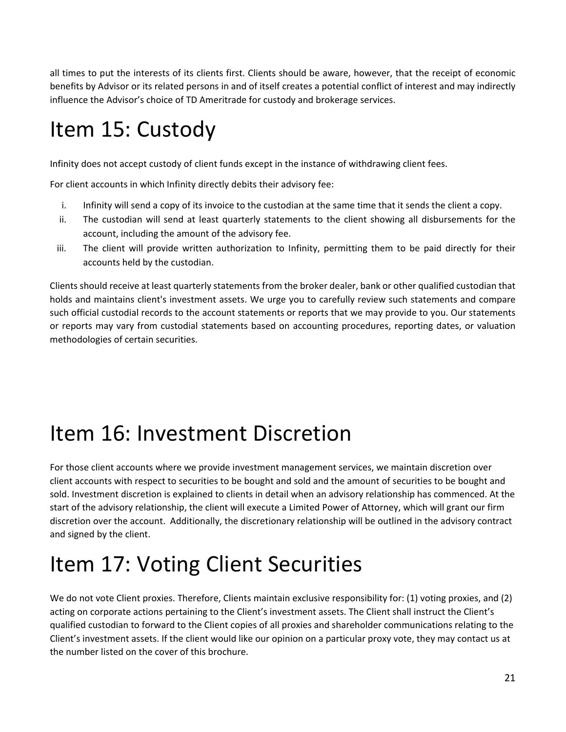all times to put the interests of its clients first. Clients should be aware, however, that the receipt of economic benefits by Advisor or its related persons in and of itself creates a potential conflict of interest and may indirectly influence the Advisor's choice of TD Ameritrade for custody and brokerage services.

## <span id="page-20-0"></span>Item 15: Custody

Infinity does not accept custody of client funds except in the instance of withdrawing client fees.

For client accounts in which Infinity directly debits their advisory fee:

- i. Infinity will send a copy of its invoice to the custodian at the same time that it sends the client a copy.
- ii. The custodian will send at least quarterly statements to the client showing all disbursements for the account, including the amount of the advisory fee.
- iii. The client will provide written authorization to Infinity, permitting them to be paid directly for their accounts held by the custodian.

Clients should receive at least quarterly statements from the broker dealer, bank or other qualified custodian that holds and maintains client's investment assets. We urge you to carefully review such statements and compare such official custodial records to the account statements or reports that we may provide to you. Our statements or reports may vary from custodial statements based on accounting procedures, reporting dates, or valuation methodologies of certain securities.

## <span id="page-20-1"></span>Item 16: Investment Discretion

For those client accounts where we provide investment management services, we maintain discretion over client accounts with respect to securities to be bought and sold and the amount of securities to be bought and sold. Investment discretion is explained to clients in detail when an advisory relationship has commenced. At the start of the advisory relationship, the client will execute a Limited Power of Attorney, which will grant our firm discretion over the account. Additionally, the discretionary relationship will be outlined in the advisory contract and signed by the client.

# <span id="page-20-2"></span>Item 17: Voting Client Securities

We do not vote Client proxies. Therefore, Clients maintain exclusive responsibility for: (1) voting proxies, and (2) acting on corporate actions pertaining to the Client's investment assets. The Client shall instruct the Client's qualified custodian to forward to the Client copies of all proxies and shareholder communications relating to the Client's investment assets. If the client would like our opinion on a particular proxy vote, they may contact us at the number listed on the cover of this brochure.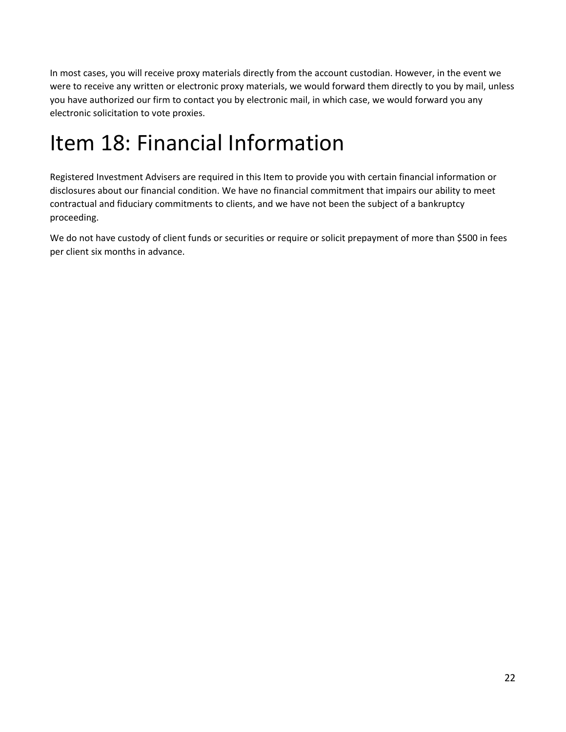In most cases, you will receive proxy materials directly from the account custodian. However, in the event we were to receive any written or electronic proxy materials, we would forward them directly to you by mail, unless you have authorized our firm to contact you by electronic mail, in which case, we would forward you any electronic solicitation to vote proxies.

## <span id="page-21-0"></span>Item 18: Financial Information

Registered Investment Advisers are required in this Item to provide you with certain financial information or disclosures about our financial condition. We have no financial commitment that impairs our ability to meet contractual and fiduciary commitments to clients, and we have not been the subject of a bankruptcy proceeding.

We do not have custody of client funds or securities or require or solicit prepayment of more than \$500 in fees per client six months in advance.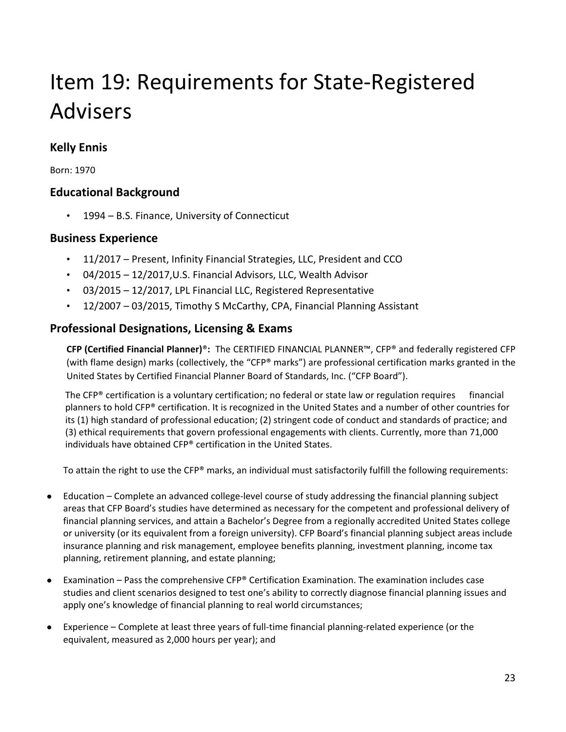# <span id="page-22-0"></span>Item 19: Requirements for State-Registered Advisers

## **Kelly Ennis**

Born: 1970

### **Educational Background**

• 1994 – B.S. Finance, University of Connecticut

### **Business Experience**

- 11/2017 Present, Infinity Financial Strategies, LLC, President and CCO
- 04/2015 12/2017,U.S. Financial Advisors, LLC, Wealth Advisor
- 03/2015 12/2017, LPL Financial LLC, Registered Representative
- 12/2007 03/2015, Timothy S McCarthy, CPA, Financial Planning Assistant

### **Professional Designations, Licensing & Exams**

**CFP (Certified Financial Planner)**®**:** The CERTIFIED FINANCIAL PLANNER™, CFP® and federally registered CFP (with flame design) marks (collectively, the "CFP® marks") are professional certification marks granted in the United States by Certified Financial Planner Board of Standards, Inc. ("CFP Board").

The CFP® certification is a voluntary certification; no federal or state law or regulation requires financial planners to hold CFP® certification. It is recognized in the United States and a number of other countries for its (1) high standard of professional education; (2) stringent code of conduct and standards of practice; and (3) ethical requirements that govern professional engagements with clients. Currently, more than 71,000 individuals have obtained CFP® certification in the United States.

To attain the right to use the CFP® marks, an individual must satisfactorily fulfill the following requirements:

- Education Complete an advanced college-level course of study addressing the financial planning subject areas that CFP Board's studies have determined as necessary for the competent and professional delivery of financial planning services, and attain a Bachelor's Degree from a regionally accredited United States college or university (or its equivalent from a foreign university). CFP Board's financial planning subject areas include insurance planning and risk management, employee benefits planning, investment planning, income tax planning, retirement planning, and estate planning;
- Examination Pass the comprehensive CFP® Certification Examination. The examination includes case studies and client scenarios designed to test one's ability to correctly diagnose financial planning issues and apply one's knowledge of financial planning to real world circumstances;
- Experience Complete at least three years of full-time financial planning-related experience (or the equivalent, measured as 2,000 hours per year); and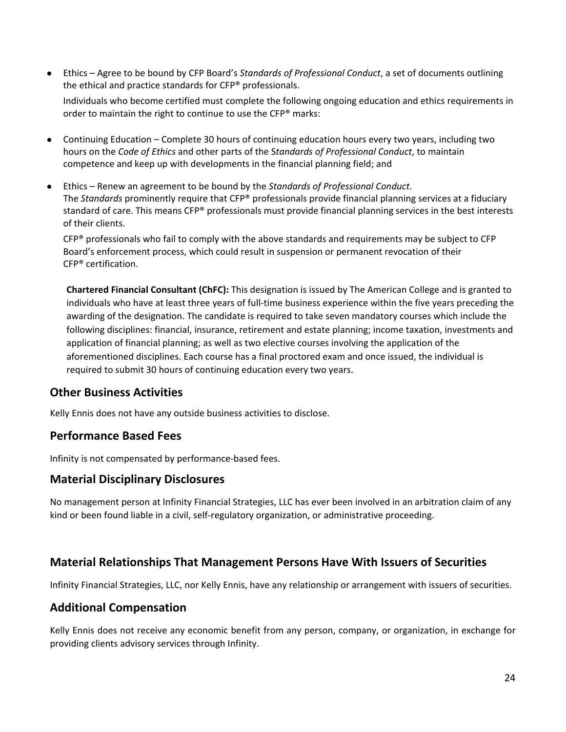● Ethics – Agree to be bound by CFP Board's *Standards of Professional Conduct*, a set of documents outlining the ethical and practice standards for CFP® professionals.

Individuals who become certified must complete the following ongoing education and ethics requirements in order to maintain the right to continue to use the CFP® marks:

- Continuing Education Complete 30 hours of continuing education hours every two years, including two hours on the *Code of Ethics* and other parts of the S*tandards of Professional Conduct*, to maintain competence and keep up with developments in the financial planning field; and
- Ethics Renew an agreement to be bound by the *Standards of Professional Conduct*. The *Standards* prominently require that CFP® professionals provide financial planning services at a fiduciary standard of care. This means CFP® professionals must provide financial planning services in the best interests of their clients.

 $CFP<sup>®</sup>$  professionals who fail to comply with the above standards and requirements may be subject to CFP Board's enforcement process, which could result in suspension or permanent revocation of their CFP® certification.

**Chartered Financial Consultant (ChFC):** This designation is issued by The American College and is granted to individuals who have at least three years of full-time business experience within the five years preceding the awarding of the designation. The candidate is required to take seven mandatory courses which include the following disciplines: financial, insurance, retirement and estate planning; income taxation, investments and application of financial planning; as well as two elective courses involving the application of the aforementioned disciplines. Each course has a final proctored exam and once issued, the individual is required to submit 30 hours of continuing education every two years.

### **Other Business Activities**

Kelly Ennis does not have any outside business activities to disclose.

### **Performance Based Fees**

Infinity is not compensated by performance-based fees.

#### **Material Disciplinary Disclosures**

No management person at Infinity Financial Strategies, LLC has ever been involved in an arbitration claim of any kind or been found liable in a civil, self-regulatory organization, or administrative proceeding.

### **Material Relationships That Management Persons Have With Issuers of Securities**

Infinity Financial Strategies, LLC, nor Kelly Ennis, have any relationship or arrangement with issuers of securities.

### **Additional Compensation**

Kelly Ennis does not receive any economic benefit from any person, company, or organization, in exchange for providing clients advisory services through Infinity.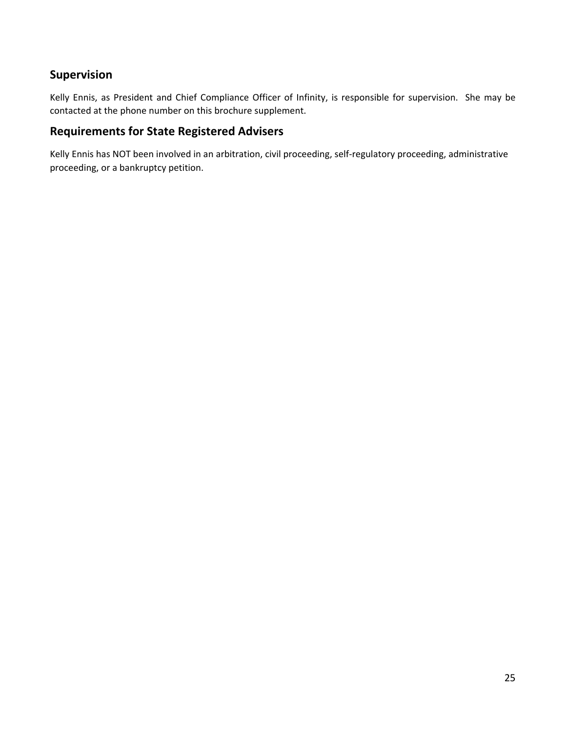### **Supervision**

Kelly Ennis, as President and Chief Compliance Officer of Infinity, is responsible for supervision. She may be contacted at the phone number on this brochure supplement.

### **Requirements for State Registered Advisers**

Kelly Ennis has NOT been involved in an arbitration, civil proceeding, self-regulatory proceeding, administrative proceeding, or a bankruptcy petition.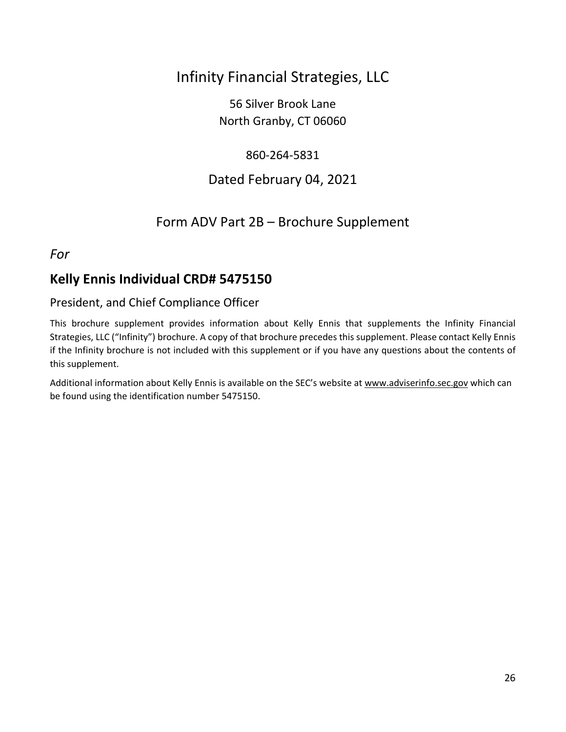## Infinity Financial Strategies, LLC

56 Silver Brook Lane North Granby, CT 06060

### 860-264-5831

## Dated February 04, 2021

## Form ADV Part 2B – Brochure Supplement

### <span id="page-25-0"></span>*For*

## **Kelly Ennis Individual CRD# 5475150**

### President, and Chief Compliance Officer

This brochure supplement provides information about Kelly Ennis that supplements the Infinity Financial Strategies, LLC ("Infinity") brochure. A copy of that brochure precedes this supplement. Please contact Kelly Ennis if the Infinity brochure is not included with this supplement or if you have any questions about the contents of this supplement.

Additional information about Kelly Ennis is available on the SEC's website a[t www.adviserinfo.sec.gov](http://www.adviserinfo.sec.gov/) which can be found using the identification number 5475150.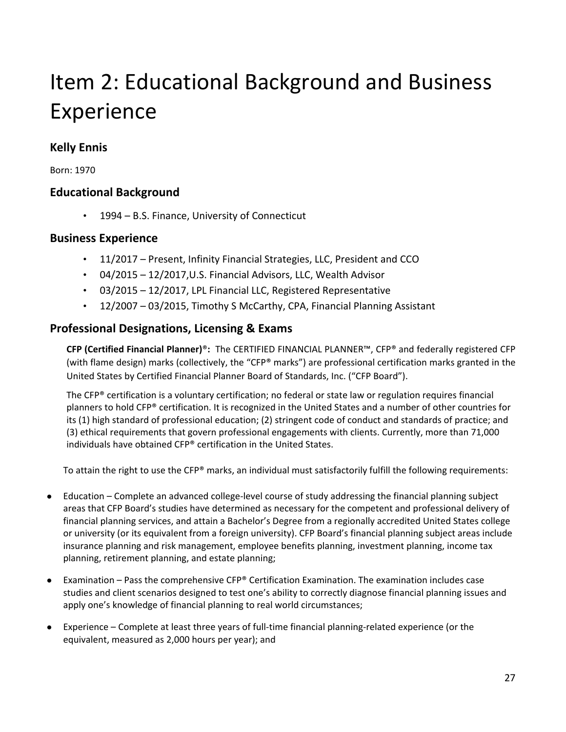# Item 2: Educational Background and Business Experience

## **Kelly Ennis**

Born: 1970

### **Educational Background**

• 1994 – B.S. Finance, University of Connecticut

### **Business Experience**

- 11/2017 Present, Infinity Financial Strategies, LLC, President and CCO
- 04/2015 12/2017,U.S. Financial Advisors, LLC, Wealth Advisor
- 03/2015 12/2017, LPL Financial LLC, Registered Representative
- 12/2007 03/2015, Timothy S McCarthy, CPA, Financial Planning Assistant

### **Professional Designations, Licensing & Exams**

**CFP (Certified Financial Planner)**®**:** The CERTIFIED FINANCIAL PLANNER™, CFP® and federally registered CFP (with flame design) marks (collectively, the "CFP® marks") are professional certification marks granted in the United States by Certified Financial Planner Board of Standards, Inc. ("CFP Board").

The CFP® certification is a voluntary certification; no federal or state law or regulation requires financial planners to hold CFP® certification. It is recognized in the United States and a number of other countries for its (1) high standard of professional education; (2) stringent code of conduct and standards of practice; and (3) ethical requirements that govern professional engagements with clients. Currently, more than 71,000 individuals have obtained CFP® certification in the United States.

To attain the right to use the CFP® marks, an individual must satisfactorily fulfill the following requirements:

- Education Complete an advanced college-level course of study addressing the financial planning subject areas that CFP Board's studies have determined as necessary for the competent and professional delivery of financial planning services, and attain a Bachelor's Degree from a regionally accredited United States college or university (or its equivalent from a foreign university). CFP Board's financial planning subject areas include insurance planning and risk management, employee benefits planning, investment planning, income tax planning, retirement planning, and estate planning;
- Examination Pass the comprehensive CFP® Certification Examination. The examination includes case studies and client scenarios designed to test one's ability to correctly diagnose financial planning issues and apply one's knowledge of financial planning to real world circumstances;
- Experience Complete at least three years of full-time financial planning-related experience (or the equivalent, measured as 2,000 hours per year); and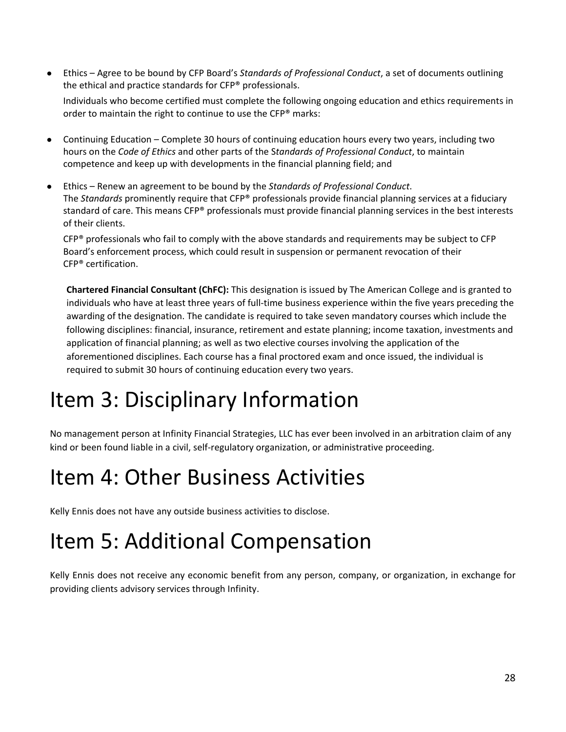● Ethics – Agree to be bound by CFP Board's *Standards of Professional Conduct*, a set of documents outlining the ethical and practice standards for CFP® professionals.

Individuals who become certified must complete the following ongoing education and ethics requirements in order to maintain the right to continue to use the CFP® marks:

- Continuing Education Complete 30 hours of continuing education hours every two years, including two hours on the *Code of Ethics* and other parts of the S*tandards of Professional Conduct*, to maintain competence and keep up with developments in the financial planning field; and
- Ethics Renew an agreement to be bound by the *Standards of Professional Conduct*. The *Standards* prominently require that CFP® professionals provide financial planning services at a fiduciary standard of care. This means CFP® professionals must provide financial planning services in the best interests of their clients.

 $CFP<sup>®</sup>$  professionals who fail to comply with the above standards and requirements may be subject to CFP Board's enforcement process, which could result in suspension or permanent revocation of their CFP® certification.

**Chartered Financial Consultant (ChFC):** This designation is issued by The American College and is granted to individuals who have at least three years of full-time business experience within the five years preceding the awarding of the designation. The candidate is required to take seven mandatory courses which include the following disciplines: financial, insurance, retirement and estate planning; income taxation, investments and application of financial planning; as well as two elective courses involving the application of the aforementioned disciplines. Each course has a final proctored exam and once issued, the individual is required to submit 30 hours of continuing education every two years.

## Item 3: Disciplinary Information

No management person at Infinity Financial Strategies, LLC has ever been involved in an arbitration claim of any kind or been found liable in a civil, self-regulatory organization, or administrative proceeding.

## Item 4: Other Business Activities

Kelly Ennis does not have any outside business activities to disclose.

## Item 5: Additional Compensation

Kelly Ennis does not receive any economic benefit from any person, company, or organization, in exchange for providing clients advisory services through Infinity.